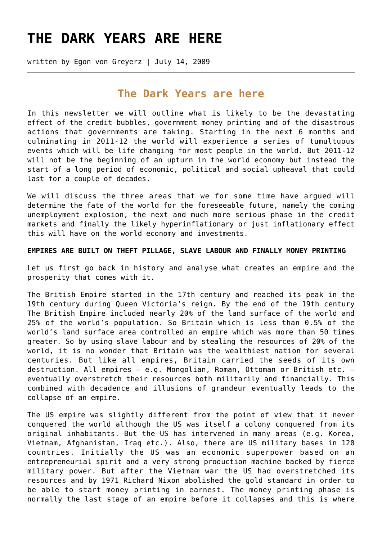# **[THE DARK YEARS ARE HERE](https://goldswitzerland.com/the-dark-years-are-here/)**

written by Egon von Greyerz | July 14, 2009

## **The Dark Years are here**

In this newsletter we will outline what is likely to be the devastating effect of the credit bubbles, government money printing and of the disastrous actions that governments are taking. Starting in the next 6 months and culminating in 2011-12 the world will experience a series of tumultuous events which will be life changing for most people in the world. But 2011-12 will not be the beginning of an upturn in the world economy but instead the start of a long period of economic, political and social upheaval that could last for a couple of decades.

We will discuss the three areas that we for some time have argued will determine the fate of the world for the foreseeable future, namely the coming unemployment explosion, the next and much more serious phase in the credit markets and finally the likely hyperinflationary or just inflationary effect this will have on the world economy and investments.

## **EMPIRES ARE BUILT ON THEFT PILLAGE, SLAVE LABOUR AND FINALLY MONEY PRINTING**

Let us first go back in history and analyse what creates an empire and the prosperity that comes with it.

The British Empire started in the 17th century and reached its peak in the 19th century during Queen Victoria's reign. By the end of the 19th century The British Empire included nearly 20% of the land surface of the world and 25% of the world's population. So Britain which is less than 0.5% of the world's land surface area controlled an empire which was more than 50 times greater. So by using slave labour and by stealing the resources of 20% of the world, it is no wonder that Britain was the wealthiest nation for several centuries. But like all empires, Britain carried the seeds of its own destruction. All empires – e.g. Mongolian, Roman, Ottoman or British etc. – eventually overstretch their resources both militarily and financially. This combined with decadence and illusions of grandeur eventually leads to the collapse of an empire.

The US empire was slightly different from the point of view that it never conquered the world although the US was itself a colony conquered from its original inhabitants. But the US has intervened in many areas (e.g. Korea, Vietnam, Afghanistan, Iraq etc.). Also, there are US military bases in 120 countries. Initially the US was an economic superpower based on an entrepreneurial spirit and a very strong production machine backed by fierce military power. But after the Vietnam war the US had overstretched its resources and by 1971 Richard Nixon abolished the gold standard in order to be able to start money printing in earnest. The money printing phase is normally the last stage of an empire before it collapses and this is where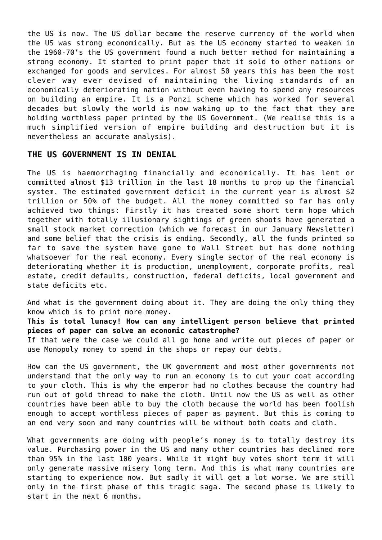the US is now. The US dollar became the reserve currency of the world when the US was strong economically. But as the US economy started to weaken in the 1960-70's the US government found a much better method for maintaining a strong economy. It started to print paper that it sold to other nations or exchanged for goods and services. For almost 50 years this has been the most clever way ever devised of maintaining the living standards of an economically deteriorating nation without even having to spend any resources on building an empire. It is a Ponzi scheme which has worked for several decades but slowly the world is now waking up to the fact that they are holding worthless paper printed by the US Government. (We realise this is a much simplified version of empire building and destruction but it is nevertheless an accurate analysis).

## **THE US GOVERNMENT IS IN DENIAL**

The US is haemorrhaging financially and economically. It has lent or committed almost \$13 trillion in the last 18 months to prop up the financial system. The estimated government deficit in the current year is almost \$2 trillion or 50% of the budget. All the money committed so far has only achieved two things: Firstly it has created some short term hope which together with totally illusionary sightings of green shoots have generated a small stock market correction (which we forecast in our January Newsletter) and some belief that the crisis is ending. Secondly, all the funds printed so far to save the system have gone to Wall Street but has done nothing whatsoever for the real economy. Every single sector of the real economy is deteriorating whether it is production, unemployment, corporate profits, real estate, credit defaults, construction, federal deficits, local government and state deficits etc.

And what is the government doing about it. They are doing the only thing they know which is to print more money.

**This is total lunacy! How can any intelligent person believe that printed pieces of paper can solve an economic catastrophe?**

If that were the case we could all go home and write out pieces of paper or use Monopoly money to spend in the shops or repay our debts.

How can the US government, the UK government and most other governments not understand that the only way to run an economy is to cut your coat according to your cloth. This is why the emperor had no clothes because the country had run out of gold thread to make the cloth. Until now the US as well as other countries have been able to buy the cloth because the world has been foolish enough to accept worthless pieces of paper as payment. But this is coming to an end very soon and many countries will be without both coats and cloth.

What governments are doing with people's money is to totally destroy its value. Purchasing power in the US and many other countries has declined more than 95% in the last 100 years. While it might buy votes short term it will only generate massive misery long term. And this is what many countries are starting to experience now. But sadly it will get a lot worse. We are still only in the first phase of this tragic saga. The second phase is likely to start in the next 6 months.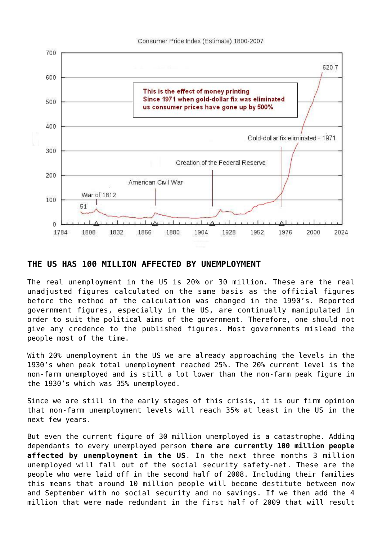

## **THE US HAS 100 MILLION AFFECTED BY UNEMPLOYMENT**

The real unemployment in the US is 20% or 30 million. These are the real unadjusted figures calculated on the same basis as the official figures before the method of the calculation was changed in the 1990's. Reported government figures, especially in the US, are continually manipulated in order to suit the political aims of the government. Therefore, one should not give any credence to the published figures. Most governments mislead the people most of the time.

With 20% unemployment in the US we are already approaching the levels in the 1930's when peak total unemployment reached 25%. The 20% current level is the non-farm unemployed and is still a lot lower than the non-farm peak figure in the 1930's which was 35% unemployed.

Since we are still in the early stages of this crisis, it is our firm opinion that non-farm unemployment levels will reach 35% at least in the US in the next few years.

But even the current figure of 30 million unemployed is a catastrophe. Adding dependants to every unemployed person **there are currently 100 million people affected by unemployment in the US**. In the next three months 3 million unemployed will fall out of the social security safety-net. These are the people who were laid off in the second half of 2008. Including their families this means that around 10 million people will become destitute between now and September with no social security and no savings. If we then add the 4 million that were made redundant in the first half of 2009 that will result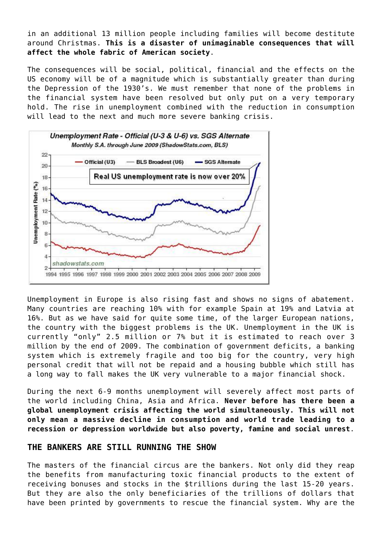in an additional 13 million people including families will become destitute around Christmas. **This is a disaster of unimaginable consequences that will affect the whole fabric of American society**.

The consequences will be social, political, financial and the effects on the US economy will be of a magnitude which is substantially greater than during the Depression of the 1930's. We must remember that none of the problems in the financial system have been resolved but only put on a very temporary hold. The rise in unemployment combined with the reduction in consumption will lead to the next and much more severe banking crisis.



Unemployment in Europe is also rising fast and shows no signs of abatement. Many countries are reaching 10% with for example Spain at 19% and Latvia at 16%. But as we have said for quite some time, of the larger European nations, the country with the biggest problems is the UK. Unemployment in the UK is currently "only" 2.5 million or 7% but it is estimated to reach over 3 million by the end of 2009. The combination of government deficits, a banking system which is extremely fragile and too big for the country, very high personal credit that will not be repaid and a housing bubble which still has a long way to fall makes the UK very vulnerable to a major financial shock.

During the next 6-9 months unemployment will severely affect most parts of the world including China, Asia and Africa. **Never before has there been a global unemployment crisis affecting the world simultaneously. This will not only mean a massive decline in consumption and world trade leading to a recession or depression worldwide but also poverty, famine and social unrest**.

## **THE BANKERS ARE STILL RUNNING THE SHOW**

The masters of the financial circus are the bankers. Not only did they reap the benefits from manufacturing toxic financial products to the extent of receiving bonuses and stocks in the \$trillions during the last 15-20 years. But they are also the only beneficiaries of the trillions of dollars that have been printed by governments to rescue the financial system. Why are the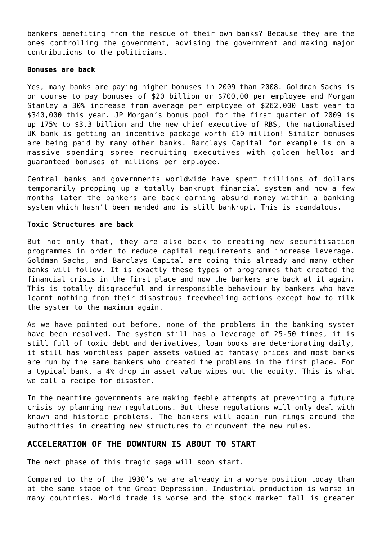bankers benefiting from the rescue of their own banks? Because they are the ones controlling the government, advising the government and making major contributions to the politicians.

#### **Bonuses are back**

Yes, many banks are paying higher bonuses in 2009 than 2008. Goldman Sachs is on course to pay bonuses of \$20 billion or \$700,00 per employee and Morgan Stanley a 30% increase from average per employee of \$262,000 last year to \$340,000 this year. JP Morgan's bonus pool for the first quarter of 2009 is up 175% to \$3.3 billion and the new chief executive of RBS, the nationalised UK bank is getting an incentive package worth £10 million! Similar bonuses are being paid by many other banks. Barclays Capital for example is on a massive spending spree recruiting executives with golden hellos and guaranteed bonuses of millions per employee.

Central banks and governments worldwide have spent trillions of dollars temporarily propping up a totally bankrupt financial system and now a few months later the bankers are back earning absurd money within a banking system which hasn't been mended and is still bankrupt. This is scandalous.

#### **Toxic Structures are back**

But not only that, they are also back to creating new securitisation programmes in order to reduce capital requirements and increase leverage. Goldman Sachs, and Barclays Capital are doing this already and many other banks will follow. It is exactly these types of programmes that created the financial crisis in the first place and now the bankers are back at it again. This is totally disgraceful and irresponsible behaviour by bankers who have learnt nothing from their disastrous freewheeling actions except how to milk the system to the maximum again.

As we have pointed out before, none of the problems in the banking system have been resolved. The system still has a leverage of 25-50 times, it is still full of toxic debt and derivatives, loan books are deteriorating daily, it still has worthless paper assets valued at fantasy prices and most banks are run by the same bankers who created the problems in the first place. For a typical bank, a 4% drop in asset value wipes out the equity. This is what we call a recipe for disaster.

In the meantime governments are making feeble attempts at preventing a future crisis by planning new regulations. But these regulations will only deal with known and historic problems. The bankers will again run rings around the authorities in creating new structures to circumvent the new rules.

## **ACCELERATION OF THE DOWNTURN IS ABOUT TO START**

The next phase of this tragic saga will soon start.

Compared to the of the 1930's we are already in a worse position today than at the same stage of the Great Depression. Industrial production is worse in many countries. World trade is worse and the stock market fall is greater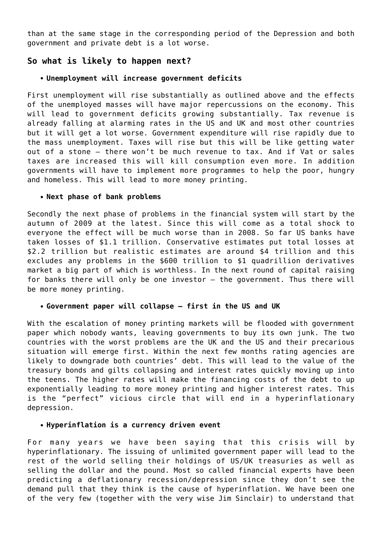than at the same stage in the corresponding period of the Depression and both government and private debt is a lot worse.

## **So what is likely to happen next?**

#### **Unemployment will increase government deficits**

First unemployment will rise substantially as outlined above and the effects of the unemployed masses will have major repercussions on the economy. This will lead to government deficits growing substantially. Tax revenue is already falling at alarming rates in the US and UK and most other countries but it will get a lot worse. Government expenditure will rise rapidly due to the mass unemployment. Taxes will rise but this will be like getting water out of a stone – there won't be much revenue to tax. And if Vat or sales taxes are increased this will kill consumption even more. In addition governments will have to implement more programmes to help the poor, hungry and homeless. This will lead to more money printing.

#### **Next phase of bank problems**

Secondly the next phase of problems in the financial system will start by the autumn of 2009 at the latest. Since this will come as a total shock to everyone the effect will be much worse than in 2008. So far US banks have taken losses of \$1.1 trillion. Conservative estimates put total losses at \$2.2 trillion but realistic estimates are around \$4 trillion and this excludes any problems in the \$600 trillion to \$1 quadrillion derivatives market a big part of which is worthless. In the next round of capital raising for banks there will only be one investor – the government. Thus there will be more money printing.

## **Government paper will collapse – first in the US and UK**

With the escalation of money printing markets will be flooded with government paper which nobody wants, leaving governments to buy its own junk. The two countries with the worst problems are the UK and the US and their precarious situation will emerge first. Within the next few months rating agencies are likely to downgrade both countries' debt. This will lead to the value of the treasury bonds and gilts collapsing and interest rates quickly moving up into the teens. The higher rates will make the financing costs of the debt to up exponentially leading to more money printing and higher interest rates. This is the "perfect" vicious circle that will end in a hyperinflationary depression.

#### **Hyperinflation is a currency driven event**

For many years we have been saying that this crisis will by hyperinflationary. The issuing of unlimited government paper will lead to the rest of the world selling their holdings of US/UK treasuries as well as selling the dollar and the pound. Most so called financial experts have been predicting a deflationary recession/depression since they don't see the demand pull that they think is the cause of hyperinflation. We have been one of the very few (together with the very wise Jim Sinclair) to understand that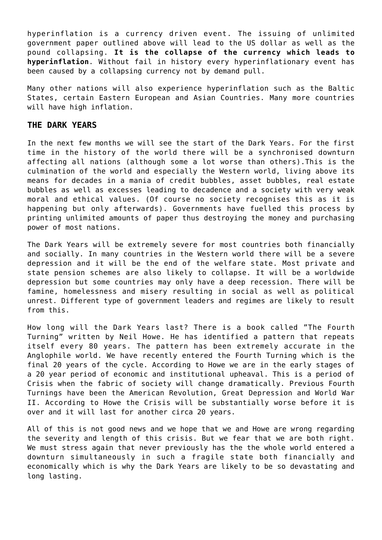hyperinflation is a currency driven event. The issuing of unlimited government paper outlined above will lead to the US dollar as well as the pound collapsing. **It is the collapse of the currency which leads to hyperinflation**. Without fail in history every hyperinflationary event has been caused by a collapsing currency not by demand pull.

Many other nations will also experience hyperinflation such as the Baltic States, certain Eastern European and Asian Countries. Many more countries will have high inflation.

## **THE DARK YEARS**

In the next few months we will see the start of the Dark Years. For the first time in the history of the world there will be a synchronised downturn affecting all nations (although some a lot worse than others).This is the culmination of the world and especially the Western world, living above its means for decades in a mania of credit bubbles, asset bubbles, real estate bubbles as well as excesses leading to decadence and a society with very weak moral and ethical values. (Of course no society recognises this as it is happening but only afterwards). Governments have fuelled this process by printing unlimited amounts of paper thus destroying the money and purchasing power of most nations.

The Dark Years will be extremely severe for most countries both financially and socially. In many countries in the Western world there will be a severe depression and it will be the end of the welfare state. Most private and state pension schemes are also likely to collapse. It will be a worldwide depression but some countries may only have a deep recession. There will be famine, homelessness and misery resulting in social as well as political unrest. Different type of government leaders and regimes are likely to result from this.

How long will the Dark Years last? There is a book called "The Fourth Turning" written by Neil Howe. He has identified a pattern that repeats itself every 80 years. The pattern has been extremely accurate in the Anglophile world. We have recently entered the Fourth Turning which is the final 20 years of the cycle. According to Howe we are in the early stages of a 20 year period of economic and institutional upheaval. This is a period of Crisis when the fabric of society will change dramatically. Previous Fourth Turnings have been the American Revolution, Great Depression and World War II. According to Howe the Crisis will be substantially worse before it is over and it will last for another circa 20 years.

All of this is not good news and we hope that we and Howe are wrong regarding the severity and length of this crisis. But we fear that we are both right. We must stress again that never previously has the the whole world entered a downturn simultaneously in such a fragile state both financially and economically which is why the Dark Years are likely to be so devastating and long lasting.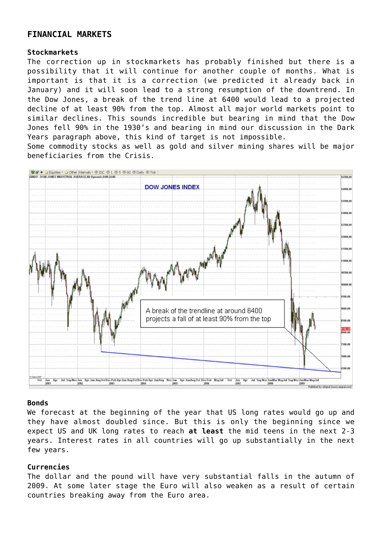## **FINANCIAL MARKETS**

#### **Stockmarkets**

The correction up in stockmarkets has probably finished but there is a possibility that it will continue for another couple of months. What is important is that it is a correction (we predicted it already back in January) and it will soon lead to a strong resumption of the downtrend. In the Dow Jones, a break of the trend line at 6400 would lead to a projected decline of at least 90% from the top. Almost all major world markets point to similar declines. This sounds incredible but bearing in mind that the Dow Jones fell 90% in the 1930's and bearing in mind our discussion in the Dark Years paragraph above, this kind of target is not impossible.

Some commodity stocks as well as gold and silver mining shares will be major beneficiaries from the Crisis.



## **Bonds**

We forecast at the beginning of the year that US long rates would go up and they have almost doubled since. But this is only the beginning since we expect US and UK long rates to reach **at least** the mid teens in the next 2-3 years. Interest rates in all countries will go up substantially in the next few years.

## **Currencies**

The dollar and the pound will have very substantial falls in the autumn of 2009. At some later stage the Euro will also weaken as a result of certain countries breaking away from the Euro area.